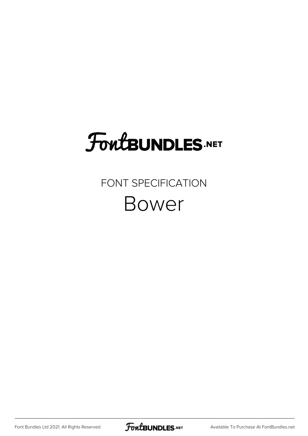## **FoutBUNDLES.NET**

#### FONT SPECIFICATION Bower

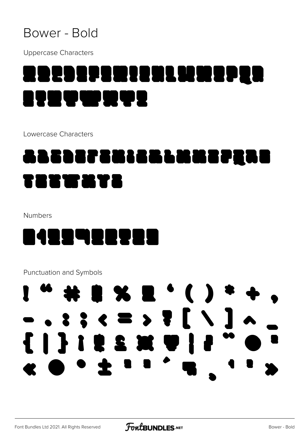

**Uppercase Characters** 

### IS DE SES DE SES DISTRI  $\mathcal{L}^{\text{max}}$

Lowercase Characters

#### . 2 2 3 3 3 3 3 3 3 4 3 4 5 7 5 i titul të

**Numbers** 



Punctuation and Symbols

#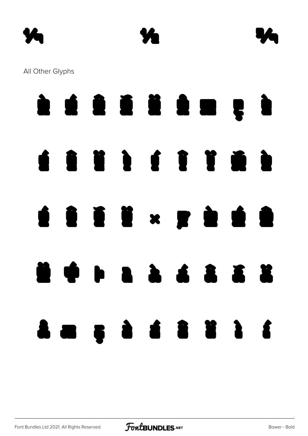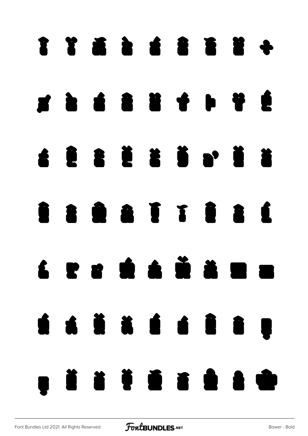# î ï ñ ò ó ô õ ö ÷ ø ù ú û ü ý þ ÿ Ć ć Ĉ ĉ Č č Ď ď Ě ě Ĝ ĝ Ĥ ĥ Ĩ ĩ Ĵ ĵ Ĺ ĺ Ľ ľ Ń ń Ň ň Œ œ Ŕ ŕ Ř ř Ś ś Ŝ ŝ Ş ş Š š Ť Ũ ũ Ů ů Ŵ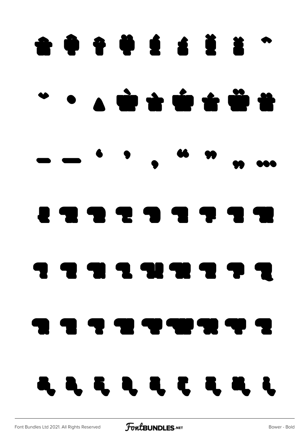# 2 2 2 2 3 2 9  $\begin{pmatrix} 1 & 1 \\ 1 & 1 \end{pmatrix} \begin{pmatrix} 1 & 1 \\ 1 & 1 \end{pmatrix} \begin{pmatrix} 1 & 1 \\ 1 & 1 \end{pmatrix}$ **September TO** 7777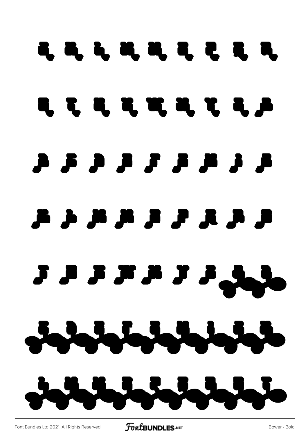# *B D B B B B B B* , , , , , , , , , , , **The School School**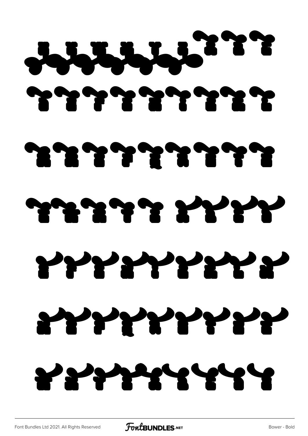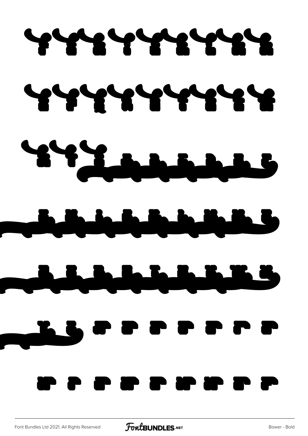# YYYYYYYYY ALAHAAAAA YYYAAAAB R. A. A. A. A. A. B. PPPPPPPP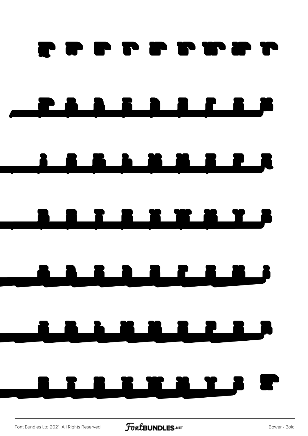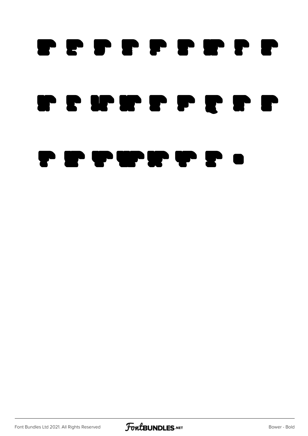# E P P P P P P P P r e ver e e e e e **L L L L L L L**

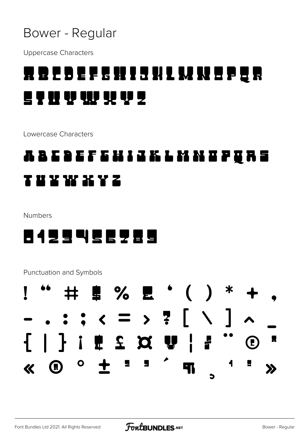#### Bower - Regular

**Uppercase Characters** 

### R B E D E F & M I & M F M M & L & Å K 물 두 번 몇 명만 몇 명 및

Lowercase Characters

#### A B E D E F E H I J K L M N B P Q R S t u y w X y z

Numbers

#### 8429456789

Punctuation and Symbols

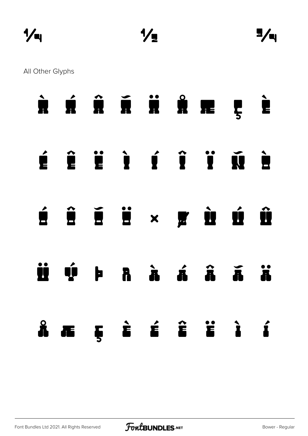

#### All Other Glyphs

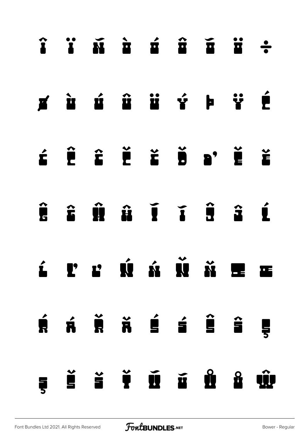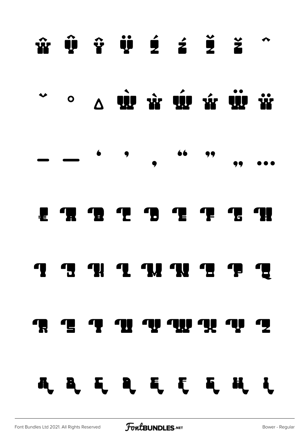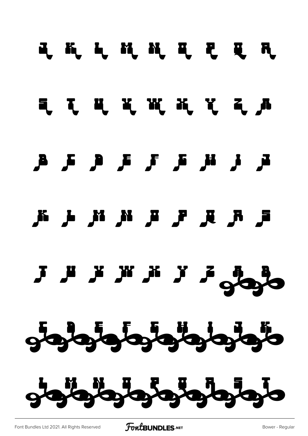## a, K, L, M, N, H, P, H, R,

## ETEKWKYZA

### A F P F F F H J H A

### 

## 



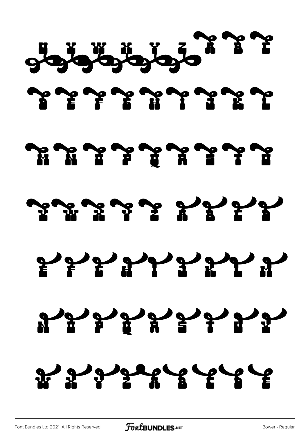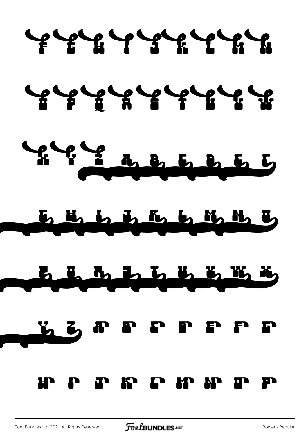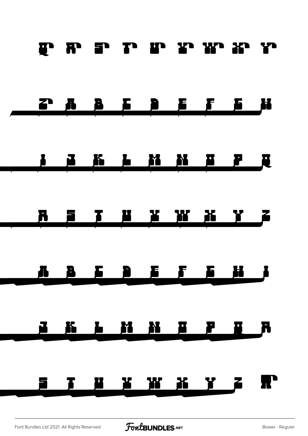